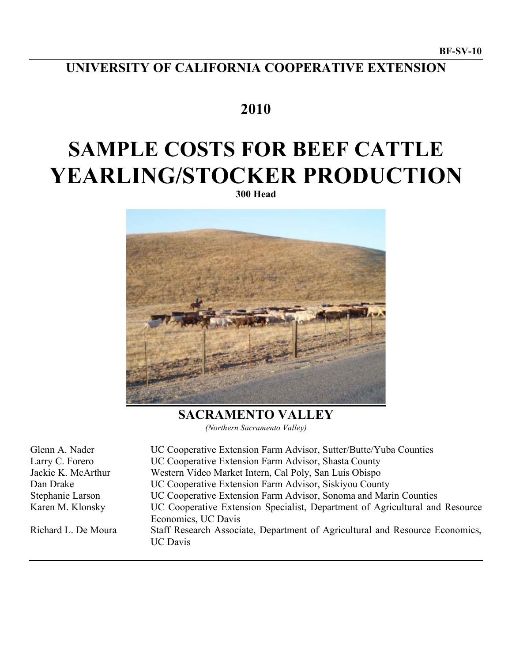# **UNIVERSITY OF CALIFORNIA COOPERATIVE EXTENSION**

## **2010**

# **SAMPLE COSTS FOR BEEF CATTLE YEARLING/STOCKER PRODUCTION**

**300 Head**



**SACRAMENTO VALLEY** *(Northern Sacramento Valley)*

| Glenn A. Nader      | UC Cooperative Extension Farm Advisor, Sutter/Butte/Yuba Counties                               |
|---------------------|-------------------------------------------------------------------------------------------------|
| Larry C. Forero     | UC Cooperative Extension Farm Advisor, Shasta County                                            |
| Jackie K. McArthur  | Western Video Market Intern, Cal Poly, San Luis Obispo                                          |
| Dan Drake           | UC Cooperative Extension Farm Advisor, Siskiyou County                                          |
| Stephanie Larson    | UC Cooperative Extension Farm Advisor, Sonoma and Marin Counties                                |
| Karen M. Klonsky    | UC Cooperative Extension Specialist, Department of Agricultural and Resource                    |
|                     | Economics, UC Davis                                                                             |
| Richard L. De Moura | Staff Research Associate, Department of Agricultural and Resource Economics,<br><b>UC</b> Davis |
|                     |                                                                                                 |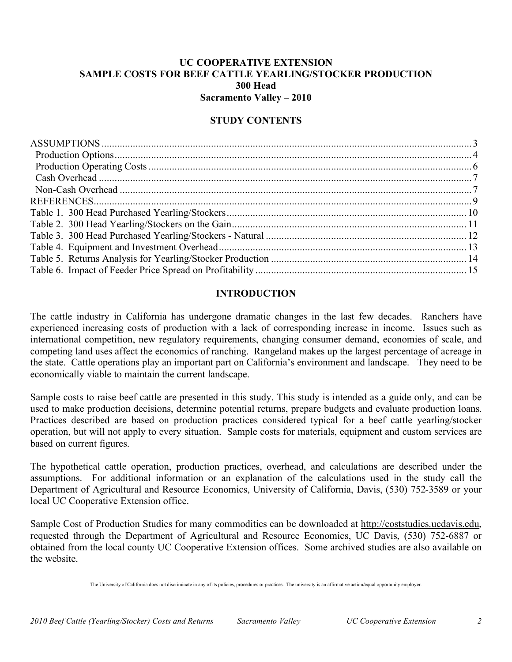## **UC COOPERATIVE EXTENSION SAMPLE COSTS FOR BEEF CATTLE YEARLING/STOCKER PRODUCTION 300 Head Sacramento Valley – 2010**

## **STUDY CONTENTS**

## **INTRODUCTION**

The cattle industry in California has undergone dramatic changes in the last few decades. Ranchers have experienced increasing costs of production with a lack of corresponding increase in income. Issues such as international competition, new regulatory requirements, changing consumer demand, economies of scale, and competing land uses affect the economics of ranching. Rangeland makes up the largest percentage of acreage in the state. Cattle operations play an important part on California's environment and landscape. They need to be economically viable to maintain the current landscape.

Sample costs to raise beef cattle are presented in this study. This study is intended as a guide only, and can be used to make production decisions, determine potential returns, prepare budgets and evaluate production loans. Practices described are based on production practices considered typical for a beef cattle yearling/stocker operation, but will not apply to every situation. Sample costs for materials, equipment and custom services are based on current figures.

The hypothetical cattle operation, production practices, overhead, and calculations are described under the assumptions. For additional information or an explanation of the calculations used in the study call the Department of Agricultural and Resource Economics, University of California, Davis, (530) 752-3589 or your local UC Cooperative Extension office.

Sample Cost of Production Studies for many commodities can be downloaded at http://coststudies.ucdavis.edu, requested through the Department of Agricultural and Resource Economics, UC Davis, (530) 752-6887 or obtained from the local county UC Cooperative Extension offices. Some archived studies are also available on the website.

The University of California does not discriminate in any of its policies, procedures or practices. The university is an affirmative action/equal opportunity employer.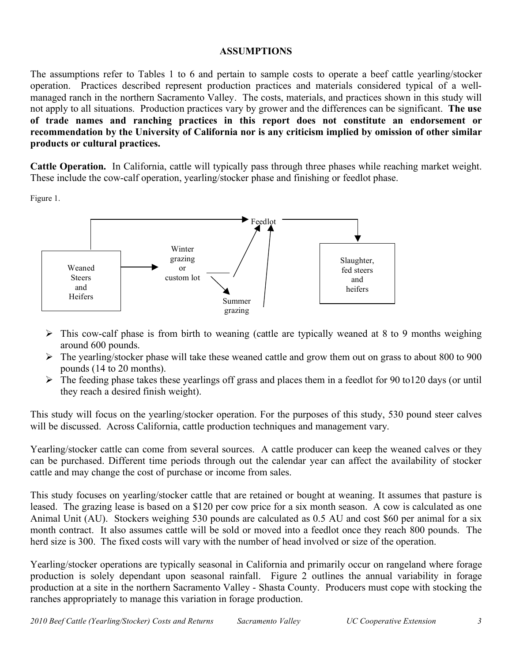## **ASSUMPTIONS**

The assumptions refer to Tables 1 to 6 and pertain to sample costs to operate a beef cattle yearling/stocker operation. Practices described represent production practices and materials considered typical of a wellmanaged ranch in the northern Sacramento Valley. The costs, materials, and practices shown in this study will not apply to all situations. Production practices vary by grower and the differences can be significant. **The use of trade names and ranching practices in this report does not constitute an endorsement or recommendation by the University of California nor is any criticism implied by omission of other similar products or cultural practices.**

**Cattle Operation.** In California, cattle will typically pass through three phases while reaching market weight. These include the cow-calf operation, yearling/stocker phase and finishing or feedlot phase.

Figure 1.



- $\triangleright$  This cow-calf phase is from birth to weaning (cattle are typically weaned at 8 to 9 months weighing around 600 pounds.
- $\triangleright$  The yearling/stocker phase will take these weaned cattle and grow them out on grass to about 800 to 900 pounds (14 to 20 months).
- $\triangleright$  The feeding phase takes these yearlings off grass and places them in a feedlot for 90 to120 days (or until they reach a desired finish weight).

This study will focus on the yearling/stocker operation. For the purposes of this study, 530 pound steer calves will be discussed. Across California, cattle production techniques and management vary.

Yearling/stocker cattle can come from several sources. A cattle producer can keep the weaned calves or they can be purchased. Different time periods through out the calendar year can affect the availability of stocker cattle and may change the cost of purchase or income from sales.

This study focuses on yearling/stocker cattle that are retained or bought at weaning. It assumes that pasture is leased. The grazing lease is based on a \$120 per cow price for a six month season. A cow is calculated as one Animal Unit (AU). Stockers weighing 530 pounds are calculated as 0.5 AU and cost \$60 per animal for a six month contract. It also assumes cattle will be sold or moved into a feedlot once they reach 800 pounds. The herd size is 300. The fixed costs will vary with the number of head involved or size of the operation.

Yearling/stocker operations are typically seasonal in California and primarily occur on rangeland where forage production is solely dependant upon seasonal rainfall. Figure 2 outlines the annual variability in forage production at a site in the northern Sacramento Valley - Shasta County. Producers must cope with stocking the ranches appropriately to manage this variation in forage production.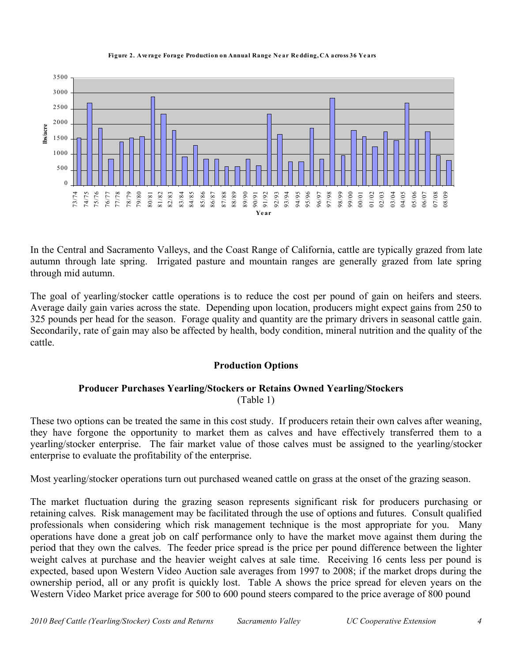#### **Figure 2. Ave rage Forage Production on Annual Range Ne ar Re dding, CA across 36 Ye ars**



In the Central and Sacramento Valleys, and the Coast Range of California, cattle are typically grazed from late autumn through late spring. Irrigated pasture and mountain ranges are generally grazed from late spring through mid autumn.

The goal of yearling/stocker cattle operations is to reduce the cost per pound of gain on heifers and steers. Average daily gain varies across the state. Depending upon location, producers might expect gains from 250 to 325 pounds per head for the season. Forage quality and quantity are the primary drivers in seasonal cattle gain. Secondarily, rate of gain may also be affected by health, body condition, mineral nutrition and the quality of the cattle.

## **Production Options**

## **Producer Purchases Yearling/Stockers or Retains Owned Yearling/Stockers** (Table 1)

These two options can be treated the same in this cost study. If producers retain their own calves after weaning, they have forgone the opportunity to market them as calves and have effectively transferred them to a yearling/stocker enterprise. The fair market value of those calves must be assigned to the yearling/stocker enterprise to evaluate the profitability of the enterprise.

Most yearling/stocker operations turn out purchased weaned cattle on grass at the onset of the grazing season.

The market fluctuation during the grazing season represents significant risk for producers purchasing or retaining calves. Risk management may be facilitated through the use of options and futures. Consult qualified professionals when considering which risk management technique is the most appropriate for you. Many operations have done a great job on calf performance only to have the market move against them during the period that they own the calves. The feeder price spread is the price per pound difference between the lighter weight calves at purchase and the heavier weight calves at sale time. Receiving 16 cents less per pound is expected, based upon Western Video Auction sale averages from 1997 to 2008; if the market drops during the ownership period, all or any profit is quickly lost. Table A shows the price spread for eleven years on the Western Video Market price average for 500 to 600 pound steers compared to the price average of 800 pound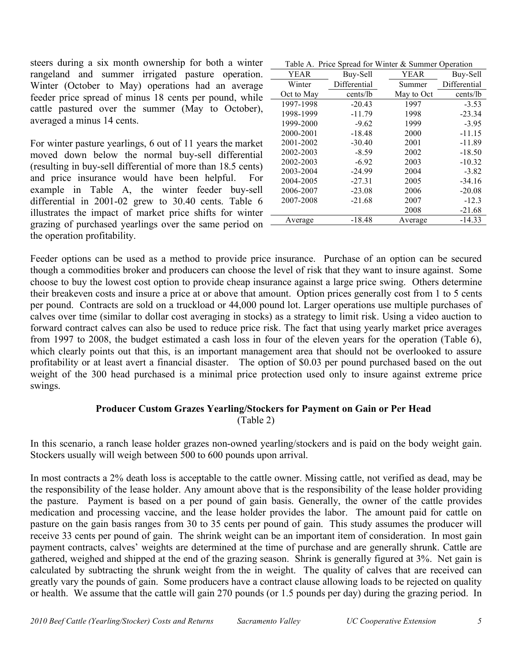steers during a six month ownership for both a winter rangeland and summer irrigated pasture operation. Winter (October to May) operations had an average feeder price spread of minus 18 cents per pound, while cattle pastured over the summer (May to October), averaged a minus 14 cents.

For winter pasture yearlings, 6 out of 11 years the market moved down below the normal buy-sell differential (resulting in buy-sell differential of more than 18.5 cents) and price insurance would have been helpful. For example in Table A, the winter feeder buy-sell differential in 2001-02 grew to 30.40 cents. Table 6 illustrates the impact of market price shifts for winter grazing of purchased yearlings over the same period on the operation profitability.

|             |          | Table A. Price Spread for Winter & Summer Operation |          |
|-------------|----------|-----------------------------------------------------|----------|
| <b>YEAR</b> | Buy-Sell | YEAR.                                               | Buy-Sell |

| Y EAK      | ылу-эеп      | I EAK      | ыну-эен      |
|------------|--------------|------------|--------------|
| Winter     | Differential | Summer     | Differential |
| Oct to May | cents/lb     | May to Oct | cents/lb     |
| 1997-1998  | $-20.43$     | 1997       | $-3.53$      |
| 1998-1999  | $-11.79$     | 1998       | $-23.34$     |
| 1999-2000  | $-9.62$      | 1999       | $-3.95$      |
| 2000-2001  | $-18.48$     | 2000       | $-11.15$     |
| 2001-2002  | $-30.40$     | 2001       | $-11.89$     |
| 2002-2003  | $-8.59$      | 2002       | $-18.50$     |
| 2002-2003  | $-6.92$      | 2003       | $-10.32$     |
| 2003-2004  | $-24.99$     | 2004       | $-3.82$      |
| 2004-2005  | $-27.31$     | 2005       | $-34.16$     |
| 2006-2007  | $-23.08$     | 2006       | $-20.08$     |
| 2007-2008  | $-21.68$     | 2007       | $-12.3$      |
|            |              | 2008       | $-21.68$     |
| Average    | $-18.48$     | Average    | $-14.33$     |

Feeder options can be used as a method to provide price insurance. Purchase of an option can be secured though a commodities broker and producers can choose the level of risk that they want to insure against. Some choose to buy the lowest cost option to provide cheap insurance against a large price swing. Others determine their breakeven costs and insure a price at or above that amount. Option prices generally cost from 1 to 5 cents per pound. Contracts are sold on a truckload or 44,000 pound lot. Larger operations use multiple purchases of calves over time (similar to dollar cost averaging in stocks) as a strategy to limit risk. Using a video auction to forward contract calves can also be used to reduce price risk. The fact that using yearly market price averages from 1997 to 2008, the budget estimated a cash loss in four of the eleven years for the operation (Table 6), which clearly points out that this, is an important management area that should not be overlooked to assure profitability or at least avert a financial disaster. The option of \$0.03 per pound purchased based on the out weight of the 300 head purchased is a minimal price protection used only to insure against extreme price swings.

## **Producer Custom Grazes Yearling/Stockers for Payment on Gain or Per Head**

(Table 2)

In this scenario, a ranch lease holder grazes non-owned yearling/stockers and is paid on the body weight gain. Stockers usually will weigh between 500 to 600 pounds upon arrival.

In most contracts a 2% death loss is acceptable to the cattle owner. Missing cattle, not verified as dead, may be the responsibility of the lease holder. Any amount above that is the responsibility of the lease holder providing the pasture. Payment is based on a per pound of gain basis. Generally, the owner of the cattle provides medication and processing vaccine, and the lease holder provides the labor. The amount paid for cattle on pasture on the gain basis ranges from 30 to 35 cents per pound of gain. This study assumes the producer will receive 33 cents per pound of gain. The shrink weight can be an important item of consideration. In most gain payment contracts, calves' weights are determined at the time of purchase and are generally shrunk. Cattle are gathered, weighed and shipped at the end of the grazing season. Shrink is generally figured at 3%. Net gain is calculated by subtracting the shrunk weight from the in weight. The quality of calves that are received can greatly vary the pounds of gain. Some producers have a contract clause allowing loads to be rejected on quality or health. We assume that the cattle will gain 270 pounds (or 1.5 pounds per day) during the grazing period. In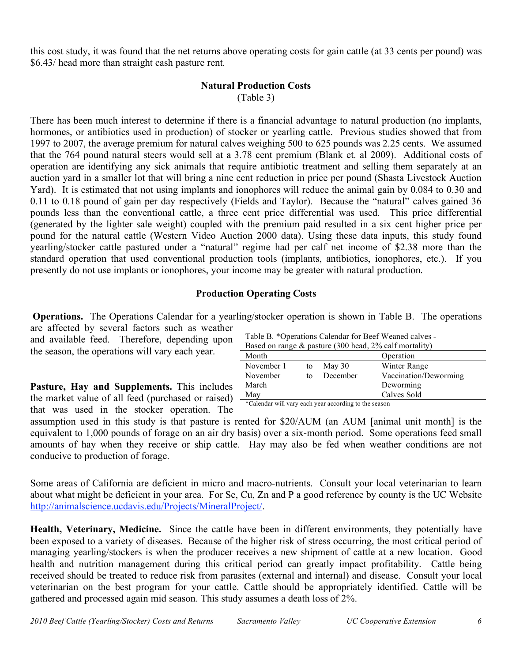this cost study, it was found that the net returns above operating costs for gain cattle (at 33 cents per pound) was \$6.43/ head more than straight cash pasture rent.

## **Natural Production Costs**

(Table 3)

There has been much interest to determine if there is a financial advantage to natural production (no implants, hormones, or antibiotics used in production) of stocker or yearling cattle. Previous studies showed that from 1997 to 2007, the average premium for natural calves weighing 500 to 625 pounds was 2.25 cents. We assumed that the 764 pound natural steers would sell at a 3.78 cent premium (Blank et. al 2009). Additional costs of operation are identifying any sick animals that require antibiotic treatment and selling them separately at an auction yard in a smaller lot that will bring a nine cent reduction in price per pound (Shasta Livestock Auction Yard). It is estimated that not using implants and ionophores will reduce the animal gain by 0.084 to 0.30 and 0.11 to 0.18 pound of gain per day respectively (Fields and Taylor). Because the "natural" calves gained 36 pounds less than the conventional cattle, a three cent price differential was used. This price differential (generated by the lighter sale weight) coupled with the premium paid resulted in a six cent higher price per pound for the natural cattle (Western Video Auction 2000 data). Using these data inputs, this study found yearling/stocker cattle pastured under a "natural" regime had per calf net income of \$2.38 more than the standard operation that used conventional production tools (implants, antibiotics, ionophores, etc.). If you presently do not use implants or ionophores, your income may be greater with natural production.

## **Production Operating Costs**

**Operations.** The Operations Calendar for a yearling/stocker operation is shown in Table B. The operations are affected by several factors such as weather Table B. \*Operations Calendar for Beef Weaned calves -

and available feed. Therefore, depending upon the season, the operations will vary each year.

**Pasture, Hay and Supplements.** This includes the market value of all feed (purchased or raised) that was used in the stocker operation. The

Based on range  $\&$  pasture (300 head, 2% calf mortality) Month Operation November 1 to May 30 Winter Range November to December Vaccination/Deworming March Deworming May Calves Sold

\*Calendar will vary each year according to the season

assumption used in this study is that pasture is rented for \$20/AUM (an AUM [animal unit month] is the equivalent to 1,000 pounds of forage on an air dry basis) over a six-month period. Some operations feed small amounts of hay when they receive or ship cattle. Hay may also be fed when weather conditions are not conducive to production of forage.

Some areas of California are deficient in micro and macro-nutrients. Consult your local veterinarian to learn about what might be deficient in your area. For Se, Cu, Zn and P a good reference by county is the UC Website http://animalscience.ucdavis.edu/Projects/MineralProject/.

**Health, Veterinary, Medicine.** Since the cattle have been in different environments, they potentially have been exposed to a variety of diseases. Because of the higher risk of stress occurring, the most critical period of managing yearling/stockers is when the producer receives a new shipment of cattle at a new location. Good health and nutrition management during this critical period can greatly impact profitability. Cattle being received should be treated to reduce risk from parasites (external and internal) and disease. Consult your local veterinarian on the best program for your cattle. Cattle should be appropriately identified. Cattle will be gathered and processed again mid season. This study assumes a death loss of 2%.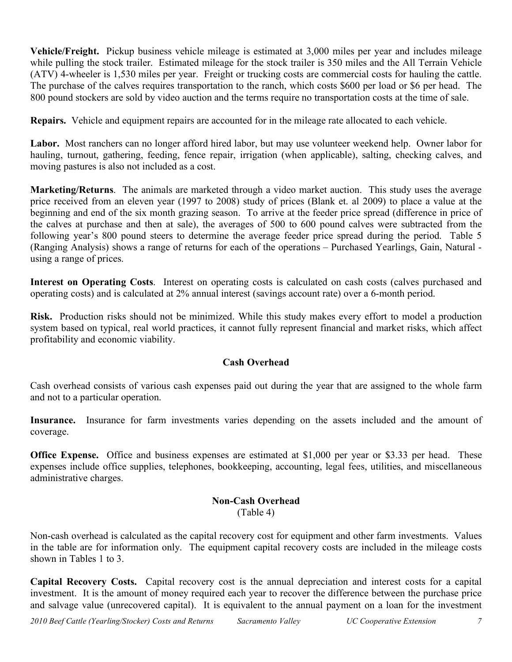**Vehicle/Freight.** Pickup business vehicle mileage is estimated at 3,000 miles per year and includes mileage while pulling the stock trailer. Estimated mileage for the stock trailer is 350 miles and the All Terrain Vehicle (ATV) 4-wheeler is 1,530 miles per year. Freight or trucking costs are commercial costs for hauling the cattle. The purchase of the calves requires transportation to the ranch, which costs \$600 per load or \$6 per head. The 800 pound stockers are sold by video auction and the terms require no transportation costs at the time of sale.

**Repairs.** Vehicle and equipment repairs are accounted for in the mileage rate allocated to each vehicle.

**Labor.** Most ranchers can no longer afford hired labor, but may use volunteer weekend help. Owner labor for hauling, turnout, gathering, feeding, fence repair, irrigation (when applicable), salting, checking calves, and moving pastures is also not included as a cost.

**Marketing/Returns**. The animals are marketed through a video market auction. This study uses the average price received from an eleven year (1997 to 2008) study of prices (Blank et. al 2009) to place a value at the beginning and end of the six month grazing season. To arrive at the feeder price spread (difference in price of the calves at purchase and then at sale), the averages of 500 to 600 pound calves were subtracted from the following year's 800 pound steers to determine the average feeder price spread during the period. Table 5 (Ranging Analysis) shows a range of returns for each of the operations – Purchased Yearlings, Gain, Natural using a range of prices.

**Interest on Operating Costs**. Interest on operating costs is calculated on cash costs (calves purchased and operating costs) and is calculated at 2% annual interest (savings account rate) over a 6-month period.

**Risk.** Production risks should not be minimized. While this study makes every effort to model a production system based on typical, real world practices, it cannot fully represent financial and market risks, which affect profitability and economic viability.

## **Cash Overhead**

Cash overhead consists of various cash expenses paid out during the year that are assigned to the whole farm and not to a particular operation.

**Insurance.** Insurance for farm investments varies depending on the assets included and the amount of coverage.

**Office Expense.** Office and business expenses are estimated at \$1,000 per year or \$3.33 per head. These expenses include office supplies, telephones, bookkeeping, accounting, legal fees, utilities, and miscellaneous administrative charges.

## **Non-Cash Overhead** (Table 4)

Non-cash overhead is calculated as the capital recovery cost for equipment and other farm investments. Values in the table are for information only. The equipment capital recovery costs are included in the mileage costs shown in Tables 1 to 3.

**Capital Recovery Costs.** Capital recovery cost is the annual depreciation and interest costs for a capital investment. It is the amount of money required each year to recover the difference between the purchase price and salvage value (unrecovered capital). It is equivalent to the annual payment on a loan for the investment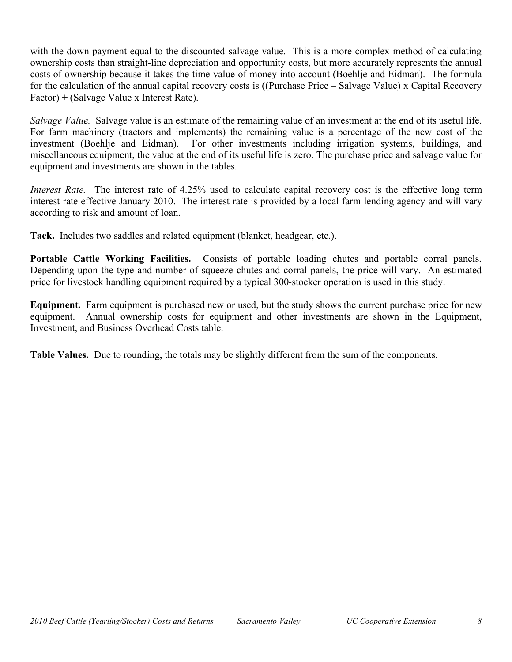with the down payment equal to the discounted salvage value. This is a more complex method of calculating ownership costs than straight-line depreciation and opportunity costs, but more accurately represents the annual costs of ownership because it takes the time value of money into account (Boehlje and Eidman). The formula for the calculation of the annual capital recovery costs is ((Purchase Price – Salvage Value) x Capital Recovery Factor) + (Salvage Value x Interest Rate).

*Salvage Value.* Salvage value is an estimate of the remaining value of an investment at the end of its useful life. For farm machinery (tractors and implements) the remaining value is a percentage of the new cost of the investment (Boehlje and Eidman). For other investments including irrigation systems, buildings, and miscellaneous equipment, the value at the end of its useful life is zero. The purchase price and salvage value for equipment and investments are shown in the tables.

*Interest Rate.* The interest rate of 4.25% used to calculate capital recovery cost is the effective long term interest rate effective January 2010. The interest rate is provided by a local farm lending agency and will vary according to risk and amount of loan.

**Tack.** Includes two saddles and related equipment (blanket, headgear, etc.).

**Portable Cattle Working Facilities.** Consists of portable loading chutes and portable corral panels. Depending upon the type and number of squeeze chutes and corral panels, the price will vary. An estimated price for livestock handling equipment required by a typical 300-stocker operation is used in this study.

**Equipment.** Farm equipment is purchased new or used, but the study shows the current purchase price for new equipment. Annual ownership costs for equipment and other investments are shown in the Equipment, Investment, and Business Overhead Costs table.

**Table Values.** Due to rounding, the totals may be slightly different from the sum of the components.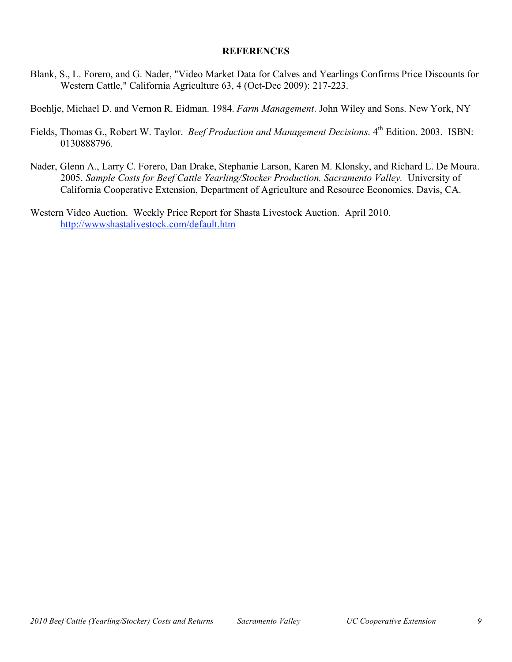### **REFERENCES**

Blank, S., L. Forero, and G. Nader, "Video Market Data for Calves and Yearlings Confirms Price Discounts for Western Cattle," California Agriculture 63, 4 (Oct-Dec 2009): 217-223.

Boehlje, Michael D. and Vernon R. Eidman. 1984. *Farm Management*. John Wiley and Sons. New York, NY

- Fields, Thomas G., Robert W. Taylor. *Beef Production and Management Decisions*. 4<sup>th</sup> Edition. 2003. ISBN: 0130888796.
- Nader, Glenn A., Larry C. Forero, Dan Drake, Stephanie Larson, Karen M. Klonsky, and Richard L. De Moura. 2005. *Sample Costs for Beef Cattle Yearling/Stocker Production. Sacramento Valley.* University of California Cooperative Extension, Department of Agriculture and Resource Economics. Davis, CA.
- Western Video Auction. Weekly Price Report for Shasta Livestock Auction. April 2010. http://wwwshastalivestock.com/default.htm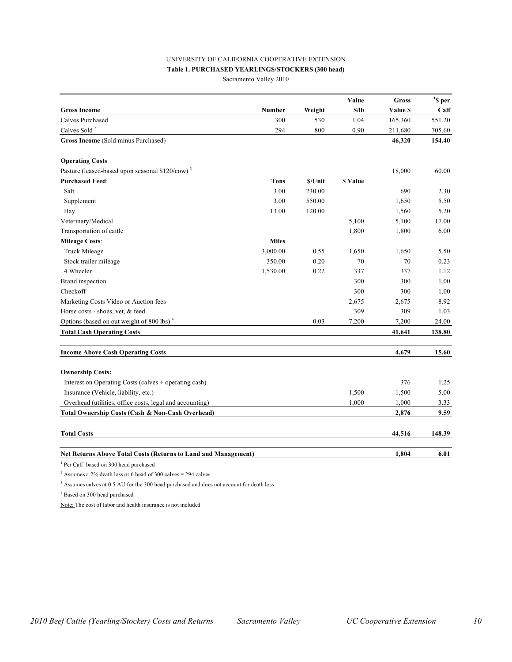#### UNIVERSITY OF CALIFORNIA COOPERATIVE EXTENSION

#### **Table 1. PURCHASED YEARLINGS/STOCKERS (300 head)**

Sacramento Valley 2010

|                                                                |              |         | Value    | Gross    | $\boldsymbol{S}$ per |
|----------------------------------------------------------------|--------------|---------|----------|----------|----------------------|
| <b>Gross Income</b>                                            | Number       | Weight  | \$/lb    | Value \$ | Calf                 |
| Calves Purchased                                               | 300          | 530     | 1.04     | 165,360  | 551.20               |
| Calves Sold <sup>2</sup>                                       | 294          | 800     | 0.90     | 211,680  | 705.60               |
| Gross Income (Sold minus Purchased)                            |              |         |          | 46,320   | 154.40               |
|                                                                |              |         |          |          |                      |
| <b>Operating Costs</b>                                         |              |         |          |          |                      |
| Pasture (leased-based upon seasonal \$120/cow) <sup>3</sup>    |              |         |          | 18,000   | 60.00                |
| <b>Purchased Feed:</b>                                         | <b>Tons</b>  | \$/Unit | \$ Value |          |                      |
| Salt                                                           | 3.00         | 230.00  |          | 690      | 2.30                 |
| Supplement                                                     | 3.00         | 550.00  |          | 1,650    | 5.50                 |
| Hay                                                            | 13.00        | 120.00  |          | 1,560    | 5.20                 |
| Veterinary/Medical                                             |              |         | 5,100    | 5,100    | 17.00                |
| Transportation of cattle                                       |              |         | 1,800    | 1,800    | 6.00                 |
| <b>Mileage Costs:</b>                                          | <b>Miles</b> |         |          |          |                      |
| Truck Mileage                                                  | 3,000.00     | 0.55    | 1,650    | 1,650    | 5.50                 |
| Stock trailer mileage                                          | 350.00       | 0.20    | 70       | 70       | 0.23                 |
| 4 Wheeler                                                      | 1,530.00     | 0.22    | 337      | 337      | 1.12                 |
| Brand inspection                                               |              |         | 300      | 300      | 1.00                 |
| Checkoff                                                       |              |         | 300      | 300      | 1.00                 |
| Marketing Costs Video or Auction fees                          |              |         | 2,675    | 2,675    | 8.92                 |
| Horse costs - shoes, vet, & feed                               |              |         | 309      | 309      | 1.03                 |
| Options (based on out weight of 800 lbs) <sup>4</sup>          |              | 0.03    | 7,200    | 7,200    | 24.00                |
| <b>Total Cash Operating Costs</b>                              |              |         |          | 41,641   | 138.80               |
| <b>Income Above Cash Operating Costs</b>                       |              |         |          | 4,679    | 15.60                |
|                                                                |              |         |          |          |                      |
| <b>Ownership Costs:</b>                                        |              |         |          |          |                      |
| Interest on Operating Costs (calves + operating cash)          |              |         |          | 376      | 1.25                 |
| Insurance (Vehicle, liability, etc.)                           |              |         | 1,500    | 1,500    | 5.00                 |
| Overhead (utilities, office costs, legal and accounting)       |              |         | 1,000    | 1,000    | 3.33                 |
| Total Ownership Costs (Cash & Non-Cash Overhead)               |              |         |          | 2,876    | 9.59                 |
| <b>Total Costs</b>                                             |              |         |          | 44,516   | 148.39               |
| Net Returns Above Total Costs (Returns to Land and Management) |              |         |          | 1,804    | 6.01                 |
|                                                                |              |         |          |          |                      |

1 Per Calf based on 300 head purchased

<sup>2</sup> Assumes a 2% death loss or 6 head of 300 calves = 294 calves

<sup>3</sup> Assumes calves at 0.5 AU for the 300 head purchased and does not account for death loss

4 Based on 300 head purchased

Note: The cost of labor and health insurance is not included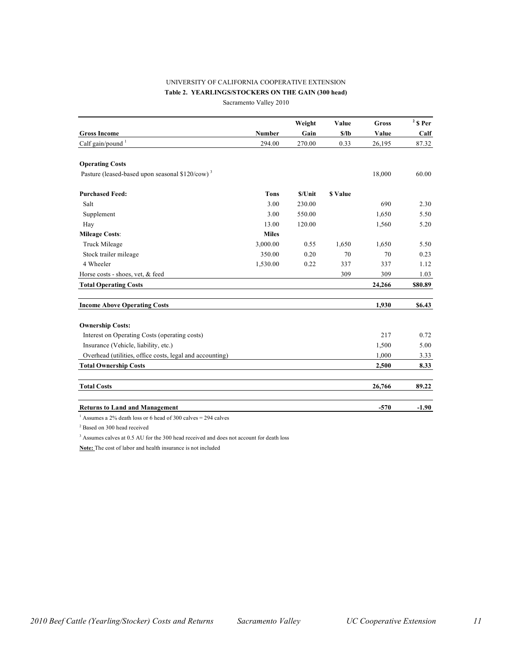#### UNIVERSITY OF CALIFORNIA COOPERATIVE EXTENSION **Table 2. YEARLINGS/STOCKERS ON THE GAIN (300 head)**

Sacramento Valley 2010

|                                                             |               | Weight  | Value          | <b>Gross</b> | $2$ \$ Per |
|-------------------------------------------------------------|---------------|---------|----------------|--------------|------------|
| <b>Gross Income</b>                                         | <b>Number</b> | Gain    | \$/lb          | Value        | Calf       |
| Calf gain/pound <sup>1</sup>                                | 294.00        | 270.00  | 0.33           | 26,195       | 87.32      |
| <b>Operating Costs</b>                                      |               |         |                |              |            |
| Pasture (leased-based upon seasonal \$120/cow) <sup>3</sup> |               |         |                | 18,000       | 60.00      |
| <b>Purchased Feed:</b>                                      | <b>Tons</b>   | \$/Unit | <b>S</b> Value |              |            |
| Salt                                                        | 3.00          | 230.00  |                | 690          | 2.30       |
| Supplement                                                  | 3.00          | 550.00  |                | 1,650        | 5.50       |
| Hay                                                         | 13.00         | 120.00  |                | 1,560        | 5.20       |
| <b>Mileage Costs:</b>                                       | <b>Miles</b>  |         |                |              |            |
| Truck Mileage                                               | 3,000.00      | 0.55    | 1,650          | 1,650        | 5.50       |
| Stock trailer mileage                                       | 350.00        | 0.20    | 70             | 70           | 0.23       |
| 4 Wheeler                                                   | 1,530.00      | 0.22    | 337            | 337          | 1.12       |
| Horse costs - shoes, vet, & feed                            |               |         | 309            | 309          | 1.03       |
| <b>Total Operating Costs</b>                                |               |         |                | 24,266       | \$80.89    |
| <b>Income Above Operating Costs</b>                         |               |         |                | 1,930        | \$6.43     |
| <b>Ownership Costs:</b>                                     |               |         |                |              |            |
| Interest on Operating Costs (operating costs)               |               |         |                | 217          | 0.72       |
| Insurance (Vehicle, liability, etc.)                        |               |         |                | 1,500        | 5.00       |
| Overhead (utilities, office costs, legal and accounting)    |               |         |                | 1,000        | 3.33       |
| <b>Total Ownership Costs</b>                                |               |         |                | 2,500        | 8.33       |
| <b>Total Costs</b>                                          |               |         |                | 26,766       | 89.22      |
| <b>Returns to Land and Management</b>                       |               |         |                | $-570$       | $-1.90$    |

<sup>1</sup> Assumes a 2% death loss or 6 head of 300 calves = 294 calves

2 Based on 300 head received

<sup>3</sup> Assumes calves at 0.5 AU for the 300 head received and does not account for death loss

**Note:** The cost of labor and health insurance is not included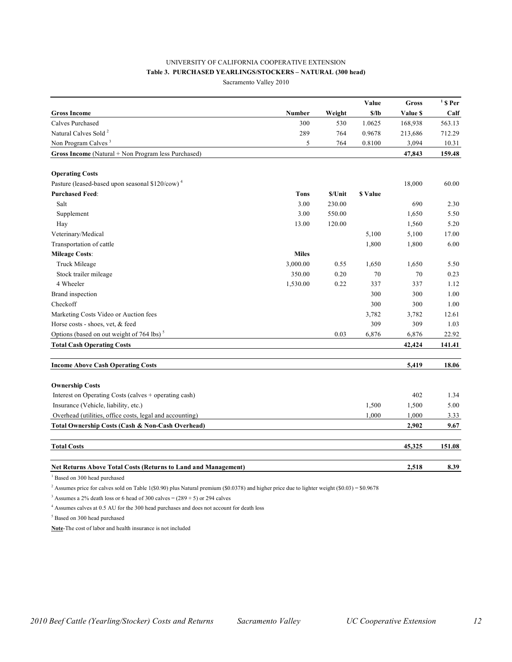#### UNIVERSITY OF CALIFORNIA COOPERATIVE EXTENSION **Table 3. PURCHASED YEARLINGS/STOCKERS – NATURAL (300 head)** Sacramento Valley 2010

**Value Gross <sup>1</sup> \$ Per Gross Income Number Weight \$/lb Value \$ Calf**  Calves Purchased 300 530 1.0625 168,938 563.13 Natural Calves Sold<sup>2</sup> 289 764 0.9678 213,686 712.29 Non Program Calves<sup>3</sup> 5 764 0.8100 3,094 10.31 **Gross Income** (Natural + Non Program less Purchased) **47,843 159.48 Operating Costs** Pasture (leased-based upon seasonal \$120/cow)<sup>4</sup> 18,000 60.00 **Purchased Feed**: **Tons \$/Unit \$ Value** Salt 3.00 230.00 690 2.30 Supplement 3.00 550.00 1,650 5.50 Hay 13.00 120.00 120.00 1,560 5.20 Veterinary/Medical 5,100 5,100 17.00 Transportation of cattle the 1,800 the 1,800 the 1,800 the 1,800 the 1,800 the 1,800 the 1,800 the 1,800 the 1,800 the 1,800 the 1,800 the 1,800 the 1,800 the 1,800 the 1,800 the 1,800 the 1,800 the 1,800 the 1,800 the 1,8 **Mileage Costs**: **Miles** Truck Mileage 5.50 1,650 5.50 1,650 5.50 Stock trailer mileage 1350.00 0.20 70 0.23 4 Wheeler 1,530.00 0.22 337 337 1.12 Brand inspection 300 300 1.00 Checkoff 300 300 1.00 Marketing Costs Video or Auction fees 3,782 3,782 12.61 Horse costs - shoes, vet, & feed 309 309 1.03 Options (based on out weight of 764 lbs)<sup>5</sup> 0.03 6,876 6,876 22.92 **Total Cash Operating Costs 42,424 141.41 Income Above Cash Operating Costs 5,419 18.06 Ownership Costs** Interest on Operating Costs (calves + operating cash) 402 1.34 Insurance (Vehicle, liability, etc.) 5.00 1,500 1,500 5.00 Overhead (utilities, office costs, legal and accounting) 1,000 1,000 3.33 **Total Ownership Costs (Cash & Non-Cash Overhead) 2,902 9.67 Total Costs 45,325 151.08**

#### **Net Returns Above Total Costs (Returns to Land and Management) 2,518 8.39**

<sup>1</sup> Based on 300 head purchased

<sup>2</sup> Assumes price for calves sold on Table 1(\$0.90) plus Natural premium (\$0.0378) and higher price due to lighter weight (\$0.03) = \$0.9678

<sup>3</sup> Assumes a 2% death loss or 6 head of 300 calves =  $(289 + 5)$  or 294 calves

<sup>4</sup> Assumes calves at 0.5 AU for the 300 head purchases and does not account for death loss

5 Based on 300 head purchased

**Note**-The cost of labor and health insurance is not included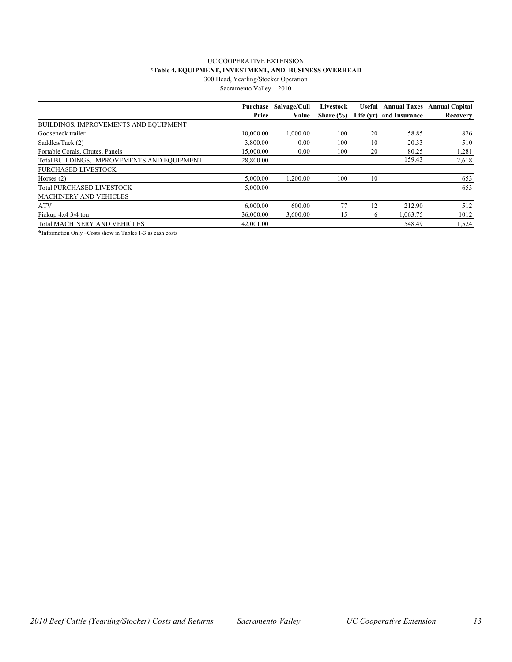#### UC COOPERATIVE EXTENSION **\*Table 4. EQUIPMENT, INVESTMENT, AND BUSINESS OVERHEAD** 300 Head, Yearling/Stocker Operation

Sacramento Valley – 2010

| Purchase                                                 | Salvage/Cull | Livestock     |    |                         | Useful Annual Taxes Annual Capital |
|----------------------------------------------------------|--------------|---------------|----|-------------------------|------------------------------------|
| Price                                                    | Value        | Share $(\% )$ |    | Life (yr) and Insurance | Recovery                           |
| BUILDINGS, IMPROVEMENTS AND EQUIPMENT                    |              |               |    |                         |                                    |
| Gooseneck trailer<br>10,000.00                           | 1,000.00     | 100           | 20 | 58.85                   | 826                                |
| Saddles/Tack (2)<br>3.800.00                             | 0.00         | 100           | 10 | 20.33                   | 510                                |
| Portable Corals, Chutes, Panels<br>15,000.00             | 0.00         | 100           | 20 | 80.25                   | 1,281                              |
| Total BUILDINGS. IMPROVEMENTS AND EOUIPMENT<br>28,800.00 |              |               |    | 159.43                  | 2,618                              |
| PURCHASED LIVESTOCK                                      |              |               |    |                         |                                    |
| 5.000.00<br>Horses $(2)$                                 | 1.200.00     | 100           | 10 |                         | 653                                |
| <b>Total PURCHASED LIVESTOCK</b><br>5.000.00             |              |               |    |                         | 653                                |
| <b>MACHINERY AND VEHICLES</b>                            |              |               |    |                         |                                    |
| <b>ATV</b><br>6,000.00                                   | 600.00       | 77            | 12 | 212.90                  | 512                                |
| 36,000.00<br>Pickup $4x4 \frac{3}{4}$ ton                | 3.600.00     | 15            | 6  | 1.063.75                | 1012                               |
| <b>Total MACHINERY AND VEHICLES</b><br>42,001.00         |              |               |    | 548.49                  | 1,524                              |

**\***Information Only –Costs show in Tables 1-3 as cash costs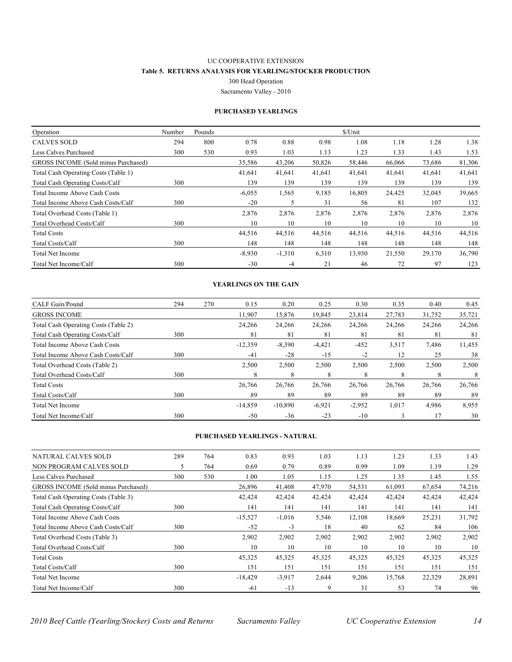#### UC COOPERATIVE EXTENSION **Table 5. RETURNS ANALYSIS FOR YEARLING/STOCKER PRODUCTION** 300 Head Operation

Sacramento Valley - 2010

#### **PURCHASED YEARLINGS**

| Operation                            | Number | Pounds |          |          |        | \$/Unit |        |        |        |
|--------------------------------------|--------|--------|----------|----------|--------|---------|--------|--------|--------|
| <b>CALVES SOLD</b>                   | 294    | 800    | 0.78     | 0.88     | 0.98   | 1.08    | 1.18   | 1.28   | 1.38   |
| Less Calves Purchased                | 300    | 530    | 0.93     | 1.03     | 1.13   | 1.23    | 1.33   | 1.43   | 1.53   |
| GROSS INCOME (Sold minus Purchased)  |        |        | 35,586   | 43,206   | 50,826 | 58,446  | 66,066 | 73,686 | 81,306 |
| Total Cash Operating Costs (Table 1) |        |        | 41,641   | 41,641   | 41,641 | 41,641  | 41,641 | 41,641 | 41,641 |
| Total Cash Operating Costs/Calf      | 300    |        | 139      | 139      | 139    | 139     | 139    | 139    | 139    |
| <b>Total Income Above Cash Costs</b> |        |        | $-6,055$ | 1,565    | 9,185  | 16,805  | 24,425 | 32,045 | 39,665 |
| Total Income Above Cash Costs/Calf   | 300    |        | $-20$    | 5        | 31     | 56      | 81     | 107    | 132    |
| Total Overhead Costs (Table 1)       |        |        | 2,876    | 2,876    | 2,876  | 2,876   | 2,876  | 2,876  | 2,876  |
| Total Overhead Costs/Calf            | 300    |        | 10       | 10       | 10     | 10      | 10     | 10     | 10     |
| <b>Total Costs</b>                   |        |        | 44,516   | 44,516   | 44,516 | 44,516  | 44,516 | 44,516 | 44,516 |
| <b>Total Costs/Calf</b>              | 300    |        | 148      | 148      | 148    | 148     | 148    | 148    | 148    |
| <b>Total Net Income</b>              |        |        | $-8,930$ | $-1,310$ | 6,310  | 13,930  | 21,550 | 29,170 | 36,790 |
| Total Net Income/Calf                | 300    |        | $-30$    | $-4$     | 21     | 46      | 72     | 97     | 123    |

#### **YEARLINGS ON THE GAIN**

| CALF Gain/Pound                        | 294 | 270 | 0.15      | 0.20      | 0.25     | 0.30     | 0.35   | 0.40   | 0.45   |
|----------------------------------------|-----|-----|-----------|-----------|----------|----------|--------|--------|--------|
| <b>GROSS INCOME</b>                    |     |     | 11,907    | 15,876    | 19,845   | 23,814   | 27,783 | 31,752 | 35,721 |
| Total Cash Operating Costs (Table 2)   |     |     | 24,266    | 24,266    | 24,266   | 24,266   | 24,266 | 24,266 | 24,266 |
| <b>Total Cash Operating Costs/Calf</b> | 300 |     | 81        | 81        | 81       | 81       | 81     | 81     | 81     |
| Total Income Above Cash Costs          |     |     | $-12,359$ | $-8,390$  | $-4,421$ | $-452$   | 3,517  | 7,486  | 11,455 |
| Total Income Above Cash Costs/Calf     | 300 |     | $-41$     | $-28$     | $-15$    | $-2$     | 12     | 25     | 38     |
| Total Overhead Costs (Table 2)         |     |     | 2,500     | 2,500     | 2,500    | 2,500    | 2,500  | 2,500  | 2,500  |
| Total Overhead Costs/Calf              | 300 |     | 8         | 8         |          | 8        | 8      | 8      | 8      |
| <b>Total Costs</b>                     |     |     | 26,766    | 26,766    | 26,766   | 26,766   | 26,766 | 26,766 | 26,766 |
| Total Costs/Calf                       | 300 |     | 89        | 89        | 89       | 89       | 89     | 89     | 89     |
| Total Net Income                       |     |     | $-14,859$ | $-10,890$ | $-6,921$ | $-2,952$ | 1,017  | 4,986  | 8.955  |
| Total Net Income/Calf                  | 300 |     | $-50$     | $-36$     | $-23$    | $-10$    |        |        | 30     |

#### **PURCHASED YEARLINGS - NATURAL**

| <b>NATURAL CALVES SOLD</b>           | 289 | 764 | 0.83      | 0.93     | 1.03   | 1.13   | 1.23   | 1.33   | 1.43   |
|--------------------------------------|-----|-----|-----------|----------|--------|--------|--------|--------|--------|
| NON PROGRAM CALVES SOLD              |     | 764 | 0.69      | 0.79     | 0.89   | 0.99   | 1.09   | 1.19   | 1.29   |
| Less Calves Purchased                | 300 | 530 | 1.00      | 1.05     | 1.15   | 1.25   | 1.35   | 1.45   | 1.55   |
| GROSS INCOME (Sold minus Purchased)  |     |     | 26,896    | 41,408   | 47,970 | 54,531 | 61,093 | 67,654 | 74,216 |
| Total Cash Operating Costs (Table 3) |     |     | 42,424    | 42,424   | 42,424 | 42,424 | 42,424 | 42,424 | 42,424 |
| Total Cash Operating Costs/Calf      | 300 |     | 141       | 141      | 141    | 141    | 141    | 141    | 141    |
| <b>Total Income Above Cash Costs</b> |     |     | $-15,527$ | $-1,016$ | 5,546  | 12,108 | 18,669 | 25,231 | 31,792 |
| Total Income Above Cash Costs/Calf   | 300 |     | $-52$     | $-3$     | 18     | 40     | 62     | 84     | 106    |
| Total Overhead Costs (Table 3)       |     |     | 2,902     | 2,902    | 2,902  | 2,902  | 2,902  | 2,902  | 2,902  |
| Total Overhead Costs/Calf            | 300 |     | 10        | 10       | 10     | 10     | 10     | 10     | 10     |
| <b>Total Costs</b>                   |     |     | 45,325    | 45,325   | 45,325 | 45,325 | 45,325 | 45,325 | 45,325 |
| Total Costs/Calf                     | 300 |     | 151       | 151      | 151    | 151    | 151    | 151    | 151    |
| <b>Total Net Income</b>              |     |     | $-18,429$ | $-3.917$ | 2,644  | 9,206  | 15,768 | 22,329 | 28,891 |
| Total Net Income/Calf                | 300 |     | $-61$     | $-13$    | 9      | 31     | 53     | 74     | 96     |